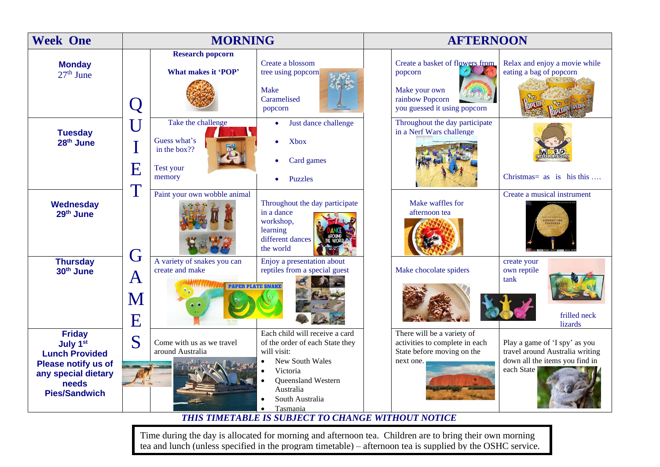| <b>Week One</b>                                                                                                                                      | <b>MORNING</b>                                     |                                                                            |                                                                                                                                                                                   | <b>AFTERNOON</b>                                                                                                                          |                                                                                                    |  |
|------------------------------------------------------------------------------------------------------------------------------------------------------|----------------------------------------------------|----------------------------------------------------------------------------|-----------------------------------------------------------------------------------------------------------------------------------------------------------------------------------|-------------------------------------------------------------------------------------------------------------------------------------------|----------------------------------------------------------------------------------------------------|--|
| <b>Monday</b><br>$27th$ June                                                                                                                         | $\Box$                                             | <b>Research popcorn</b><br>What makes it 'POP'                             | Create a blossom<br>tree using popcorn<br><b>Make</b><br>Caramelised<br>popcorn                                                                                                   | Create a basket of flowers from<br>eating a bag of popcorn<br>popcorn<br>Make your own<br>rainbow Popcorn<br>you guessed it using popcorn | Relax and enjoy a movie while                                                                      |  |
| <b>Tuesday</b><br>28 <sup>th</sup> June                                                                                                              | $\overline{\textsf{U}}$<br>$\overline{\mathbf{E}}$ | Take the challenge<br>Guess what's<br>in the box??<br>Test your<br>memory  | Just dance challenge<br>$\bullet$<br>Xbox<br>Card games<br><b>Puzzles</b>                                                                                                         | Throughout the day participate<br>in a Nerf Wars challenge                                                                                | Christmas = $\alpha$ s is his this                                                                 |  |
| Wednesday<br>29 <sup>th</sup> June                                                                                                                   | T<br>G                                             | Paint your own wobble animal                                               | Throughout the day participate<br>in a dance<br>workshop,<br>learning<br>different dances<br>the world                                                                            | Make waffles for<br>afternoon tea                                                                                                         | Create a musical instrument                                                                        |  |
| <b>Thursday</b><br>30 <sup>th</sup> June                                                                                                             | A<br>M<br>E                                        | A variety of snakes you can<br>create and make<br><b>PAPER PLATE SNAKE</b> | Enjoy a presentation about<br>reptiles from a special guest                                                                                                                       | create your<br>Make chocolate spiders<br>own reptile<br>tank                                                                              | frilled neck<br>lizards                                                                            |  |
| <b>Friday</b><br>July 1 <sup>st</sup><br><b>Lunch Provided</b><br><b>Please notify us of</b><br>any special dietary<br>needs<br><b>Pies/Sandwich</b> | S                                                  | Come with us as we travel<br>around Australia                              | Each child will receive a card<br>of the order of each State they<br>will visit:<br>New South Wales<br>Victoria<br>Queensland Western<br>Australia<br>South Australia<br>Tasmania | There will be a variety of<br>activities to complete in each<br>State before moving on the<br>next one.<br>each State                     | Play a game of 'I spy' as you<br>travel around Australia writing<br>down all the items you find in |  |

## *THIS TIMETABLE IS SUBJECT TO CHANGE WITHOUT NOTICE*

Time during the day is allocated for morning and afternoon tea. Children are to bring their own morning tea and lunch (unless specified in the program timetable) – afternoon tea is supplied by the OSHC service.